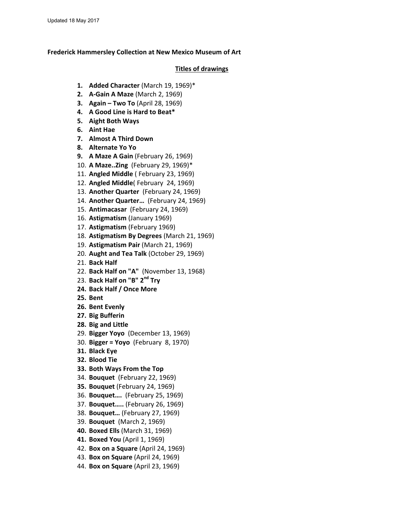## **Frederick Hammersley Collection at New Mexico Museum of Art**

## **Titles of drawings**

- **1. Added Character** (March 19, 1969)\*
- **2. A‐Gain A Maze** (March 2, 1969)
- **3. Again – Two To** (April 28, 1969)
- **4. A Good Line is Hard to Beat\***
- **5. Aight Both Ways**
- **6. Aint Hae**
- **7. Almost A Third Down**
- **8. Alternate Yo Yo**
- **9. A Maze A Gain** (February 26, 1969)
- 10. **A Maze..Zing** (February 29, 1969)\*
- 11. **Angled Middle** ( February 23, 1969)
- 12. **Angled Middle**( February 24, 1969)
- 13. **Another Quarter** (February 24, 1969)
- 14. **Another Quarter…** (February 24, 1969)
- 15. **Antimacasar** (February 24, 1969)
- 16. **Astigmatism** (January 1969)
- 17. **Astigmatism** (February 1969)
- 18. **Astigmatism By Degrees** (March 21, 1969)
- 19. **Astigmatism Pair** (March 21, 1969)
- 20. **Aught and Tea Talk** (October 29, 1969)
- 21. **Back Half**
- 22. **Back Half on "A"** (November 13, 1968)
- 23. **Back Half on "B" 2nd Try**
- **24. Back Half / Once More**
- **25. Bent**
- **26. Bent Evenly**
- **27. Big Bufferin**
- **28. Big and Little**
- 29. **Bigger Yoyo** (December 13, 1969)
- 30. **Bigger = Yoyo** (February 8, 1970)
- **31. Black Eye**
- **32. Blood Tie**
- **33. Both Ways From the Top**
- 34. **Bouquet** (February 22, 1969)
- **35. Bouquet** (February 24, 1969)
- 36. **Bouquet….** (February 25, 1969)
- 37. **Bouquet…..** (February 26, 1969)
- 38. **Bouquet…** (February 27, 1969)
- 39. **Bouquet** (March 2, 1969)
- **40. Boxed Ells** (March 31, 1969)
- **41. Boxed You** (April 1, 1969)
- 42. **Box on a Square** (April 24, 1969)
- 43. **Box on Square** (April 24, 1969)
- 44. **Box on Square** (April 23, 1969)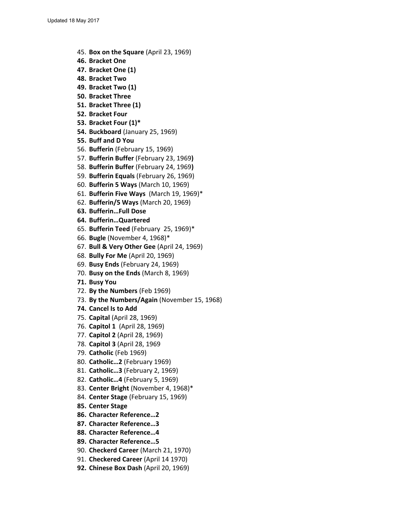- 45. **Box on the Square** (April 23, 1969)
- **46. Bracket One**
- **47. Bracket One (1)**
- **48. Bracket Two**
- **49. Bracket Two (1)**
- **50. Bracket Three**
- **51. Bracket Three (1)**
- **52. Bracket Four**
- **53. Bracket Four (1)\***
- **54. Buckboard** (January 25, 1969)
- **55. Buff and D You**
- 56. **Bufferin** (February 15, 1969)
- 57. **Bufferin Buffer** (February 23, 1969**)**
- 58. **Bufferin Buffer** (February 24, 1969**)**
- 59. **Bufferin Equals** (February 26, 1969)
- 60. **Bufferin 5 Ways** (March 10, 1969)
- 61. **Bufferin Five Ways** (March 19, 1969)\*
- 62. **Bufferin/5 Ways** (March 20, 1969)

**63. Bufferin…Full Dose**

- **64. Bufferin…Quartered**
- 65. **Bufferin Teed** (February 25, 1969)\*
- 66. **Bugle** (November 4, 1968)\*
- 67. **Bull & Very Other Gee** (April 24, 1969)
- 68. **Bully For Me** (April 20, 1969)
- 69. **Busy Ends** (February 24, 1969)
- 70. **Busy on the Ends** (March 8, 1969)
- **71. Busy You**
- 72. **By the Numbers** (Feb 1969)
- 73. **By the Numbers/Again** (November 15, 1968)
- **74. Cancel Is to Add**
- 75. **Capital** (April 28, 1969)
- 76. **Capitol 1** (April 28, 1969)
- 77. **Capitol 2** (April 28, 1969)
- 78. **Capitol 3** (April 28, 1969
- 79. **Catholic** (Feb 1969)
- 80. **Catholic…2** (February 1969)
- 81. **Catholic…3** (February 2, 1969)
- 82. **Catholic…4** (February 5, 1969)
- 83. **Center Bright** (November 4, 1968)\*
- 84. **Center Stage** (February 15, 1969)
- **85. Center Stage**
- **86. Character Reference…2**
- **87. Character Reference…3**
- **88. Character Reference…4**
- **89. Character Reference…5**
- 90. **Checkerd Career** (March 21, 1970)
- 91. **Checkered Career** (April 14 1970)
- **92. Chinese Box Dash** (April 20, 1969)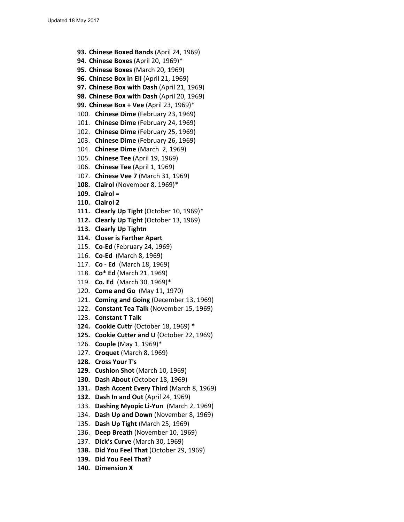- **93. Chinese Boxed Bands** (April 24, 1969)
- **94. Chinese Boxes** (April 20, 1969)\*
- **95. Chinese Boxes** (March 20, 1969)
- **96. Chinese Box in Ell** (April 21, 1969)
- **97. Chinese Box with Dash** (April 21, 1969)
- **98. Chinese Box with Dash** (April 20, 1969)
- **99. Chinese Box + Vee** (April 23, 1969)\*
- 100. **Chinese Dime** (February 23, 1969)
- 101. **Chinese Dime** (February 24, 1969)
- 102. **Chinese Dime** (February 25, 1969)
- 103. **Chinese Dime** (February 26, 1969)
- 104. **Chinese Dime** (March 2, 1969)
- 105. **Chinese Tee** (April 19, 1969)
- 106. **Chinese Tee** (April 1, 1969)
- 107. **Chinese Vee 7** (March 31, 1969)
- **108. Clairol** (November 8, 1969)\*
- **109. Clairol =**
- **110. Clairol 2**
- **111. Clearly Up Tight** (October 10, 1969)\*
- **112. Clearly Up Tight** (October 13, 1969)
- **113. Clearly Up Tightn**
- **114. Closer is Farther Apart**
- 115. **Co‐Ed** (February 24, 1969)
- 116. **Co‐Ed** (March 8, 1969)
- 117. **Co** Ed (March 18, 1969)
- 118. **Co\* Ed** (March 21, 1969)
- 119. **Co. Ed** (March 30, 1969)\*
- 120. **Come and Go** (May 11, 1970)
- 121. **Coming and Going** (December 13, 1969)
- 122. **Constant Tea Talk** (November 15, 1969)
- 123. **Constant T Talk**
- **124. Cookie Cuttr** (October 18, 1969) **\***
- **125. Cookie Cutter and U** (October 22, 1969)
- 126. **Couple** (May 1, 1969)\*
- 127. **Croquet** (March 8, 1969)
- **128. Cross Your T's**
- **129. Cushion Shot** (March 10, 1969)
- **130. Dash About** (October 18, 1969)
- **131. Dash Accent Every Third** (March 8, 1969)
- **132. Dash In and Out** (April 24, 1969)
- 133. **Dashing Myopic Li‐Yun** (March 2, 1969)
- 134. **Dash Up and Down** (November 8, 1969)
- 135. **Dash Up Tight** (March 25, 1969)
- 136. **Deep Breath** (November 10, 1969)
- 137. **Dick's Curve** (March 30, 1969)
- **138. Did You Feel That** (October 29, 1969)
- **139. Did You Feel That?**
- **140. Dimension X**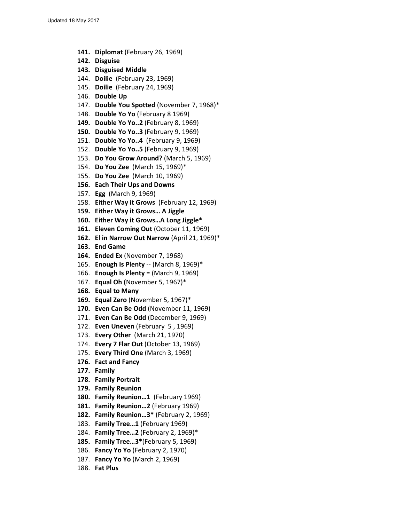- **141. Diplomat** (February 26, 1969)
- **142. Disguise**
- **143. Disguised Middle**
- 144. **Doilie** (February 23, 1969)
- 145. **Doilie** (February 24, 1969)
- 146. **Double Up**
- 147. **Double You Spotted** (November 7, 1968)\*
- 148. **Double Yo Yo** (February 8 1969)
- **149. Double Yo Yo..2** (February 8, 1969)
- **150. Double Yo Yo..3** (February 9, 1969)
- 151. **Double Yo Yo..4** (February 9, 1969)
- 152. **Double Yo Yo..5** (February 9, 1969)
- 153. **Do You Grow Around?** (March 5, 1969)
- 154. **Do You Zee** (March 15, 1969)\*
- 155. **Do You Zee** (March 10, 1969)
- **156. Each Their Ups and Downs**
- 157. **Egg** (March 9, 1969)
- 158. **Either Way it Grows** (February 12, 1969)
- **159. Either Way it Grows… A Jiggle**
- **160. Either Way it Grows…A Long Jiggle\***
- **161. Eleven Coming Out** (October 11, 1969)
- **162. El in Narrow Out Narrow** (April 21, 1969)\*
- **163. End Game**
- **164. Ended Ex** (November 7, 1968)
- 165. **Enough Is Plenty** ‐‐ (March 8, 1969)\*
- 166. **Enough Is Plenty** = (March 9, 1969)
- 167. **Equal Oh (**November 5, 1967)\*
- **168. Equal to Many**
- **169. Equal Zero** (November 5, 1967)\*
- **170. Even Can Be Odd** (November 11, 1969)
- 171. **Even Can Be Odd** (December 9, 1969)
- 172. **Even Uneven** (February 5 , 1969)
- 173. **Every Other** (March 21, 1970)
- 174. **Every 7 Flar Out** (October 13, 1969)
- 175. **Every Third One** (March 3, 1969)
- **176. Fact and Fancy**
- **177. Family**
- **178. Family Portrait**
- **179. Family Reunion**
- **180. Family Reunion…1** (February 1969)
- **181. Family Reunion…2** (February 1969)
- **182. Family Reunion…3\*** (February 2, 1969)
- 183. **Family Tree…1** (February 1969)
- 184. **Family Tree…2** (February 2, 1969)\*
- **185. Family Tree…3\***(February 5, 1969)
- 186. **Fancy Yo Yo** (February 2, 1970)
- 187. **Fancy Yo Yo** (March 2, 1969)
- 188. **Fat Plus**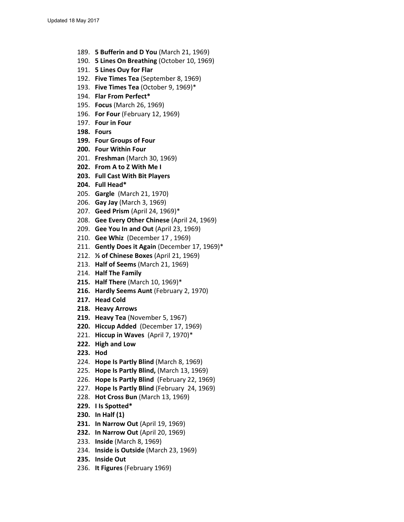- 189. **5 Bufferin and D You** (March 21, 1969)
- 190. **5 Lines On Breathing** (October 10, 1969)
- 191. **5 Lines Ouy for Flar**
- 192. **Five Times Tea** (September 8, 1969)
- 193. **Five Times Tea** (October 9, 1969)\*
- 194. **Flar From Perfect\***
- 195. **Focus** (March 26, 1969)
- 196. **For Four** (February 12, 1969)
- 197. **Four in Four**
- **198. Fours**
- **199. Four Groups of Four**
- **200. Four Within Four**
- 201. **Freshman** (March 30, 1969)
- **202. From A to Z With Me I**
- **203. Full Cast With Bit Players**
- **204. Full Head\***
- 205. **Gargle** (March 21, 1970)
- 206. **Gay Jay** (March 3, 1969)
- 207. **Geed Prism** (April 24, 1969)\*
- 208. **Gee Every Other Chinese** (April 24, 1969)
- 209. **Gee You In and Out** (April 23, 1969)
- 210. **Gee Whiz** (December 17 , 1969)
- 211. **Gently Does it Again** (December 17, 1969)\*
- 212. **½ of Chinese Boxes** (April 21, 1969)
- 213. **Half of Seems** (March 21, 1969)
- 214. **Half The Family**
- **215. Half There** (March 10, 1969)\*
- **216. Hardly Seems Aunt** (February 2, 1970)
- **217. Head Cold**
- **218. Heavy Arrows**
- **219. Heavy Tea** (November 5, 1967)
- **220. Hiccup Added** (December 17, 1969)
- 221. **Hiccup in Waves** (April 7, 1970)\*
- **222. High and Low**
- **223. Hod**
- 224. **Hope Is Partly Blind** (March 8, 1969)
- 225. **Hope Is Partly Blind,** (March 13, 1969)
- 226. **Hope Is Partly Blind** (February 22, 1969)
- 227. **Hope Is Partly Blind** (February 24, 1969)
- 228. **Hot Cross Bun** (March 13, 1969)
- **229. I Is Spotted\***
- **230. In Half (1)**
- **231. In Narrow Out** (April 19, 1969)
- **232. In Narrow Out** (April 20, 1969)
- 233. **Inside** (March 8, 1969)
- 234. **Inside is Outside** (March 23, 1969)
- **235. Inside Out**
- 236. **It Figures** (February 1969)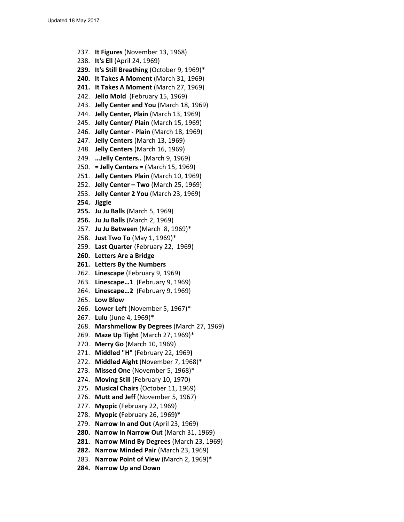- 237. **It Figures** (November 13, 1968)
- 238. **It's Ell** (April 24, 1969)
- **239. It's Still Breathing** (October 9, 1969)\*
- **240. It Takes A Moment** (March 31, 1969)
- **241. It Takes A Moment** (March 27, 1969)
- 242. **Jello Mold** (February 15, 1969)
- 243. **Jelly Center and You** (March 18, 1969)
- 244. **Jelly Center, Plain** (March 13, 1969)
- 245. **Jelly Center/ Plain** (March 15, 1969)
- 246. **Jelly Center ‐ Plain** (March 18, 1969)
- 247. **Jelly Centers** (March 13, 1969)
- 248. **Jelly Centers** (March 16, 1969)
- 249. **…Jelly Centers..** (March 9, 1969)
- 250. **= Jelly Centers =** (March 15, 1969)
- 251. **Jelly Centers Plain** (March 10, 1969)
- 252. **Jelly Center – Two** (March 25, 1969)
- 253. **Jelly Center 2 You** (March 23, 1969)
- **254. Jiggle**
- **255. Ju Ju Balls** (March 5, 1969)
- **256. Ju Ju Balls** (March 2, 1969)
- 257. **Ju Ju Between** (March 8, 1969)\*
- 258. **Just Two To** (May 1, 1969)\*
- 259. **Last Quarter** (February 22, 1969)
- **260. Letters Are a Bridge**
- **261. Letters By the Numbers**
- 262. **Linescape** (February 9, 1969)
- 263. **Linescape…1** (February 9, 1969)
- 264. **Linescape…2** (February 9, 1969)
- 265. **Low Blow**
- 266. **Lower Left** (November 5, 1967)\*
- 267. **Lulu** (June 4, 1969)\*
- 268. **Marshmellow By Degrees** (March 27, 1969)
- 269. **Maze Up Tight** (March 27, 1969)\*
- 270. **Merry Go** (March 10, 1969)
- 271. **Middled "H"** (February 22, 1969**)**
- 272. **Middled Aight** (November 7, 1968)\*
- 273. **Missed One** (November 5, 1968)\*
- 274. **Moving Still** (February 10, 1970)
- 275. **Musical Chairs** (October 11, 1969)
- 276. **Mutt and Jeff** (November 5, 1967)
- 277. **Myopic** (February 22, 1969)
- 278. **Myopic (**February 26, 1969**)\***
- 279. **Narrow In and Out** (April 23, 1969)
- **280. Narrow In Narrow Out** (March 31, 1969)
- **281. Narrow Mind By Degrees** (March 23, 1969)
- **282. Narrow Minded Pair** (March 23, 1969)
- 283. **Narrow Point of View** (March 2, 1969)\*
- **284. Narrow Up and Down**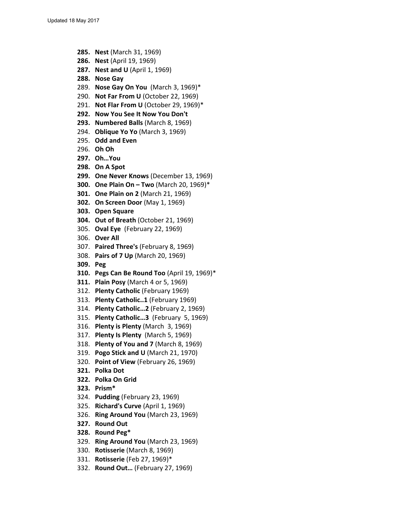- **285. Nest** (March 31, 1969)
- **286. Nest** (April 19, 1969)
- **287. Nest and U** (April 1, 1969)
- **288. Nose Gay**
- 289. **Nose Gay On You** (March 3, 1969)\*
- 290. **Not Far From U** (October 22, 1969)
- 291. **Not Flar From U** (October 29, 1969)\*
- **292. Now You See It Now You Don't**
- **293. Numbered Balls** (March 8, 1969)
- 294. **Oblique Yo Yo** (March 3, 1969)
- 295. **Odd and Even**
- 296. **Oh Oh**
- **297. Oh…You**
- **298. On A Spot**
- **299. One Never Knows** (December 13, 1969)
- **300. One Plain On – Two** (March 20, 1969)\*
- **301. One Plain on 2** (March 21, 1969)
- **302. On Screen Door** (May 1, 1969)
- **303. Open Square**
- **304. Out of Breath** (October 21, 1969)
- 305. **Oval Eye** (February 22, 1969)
- 306. **Over All**
- 307. **Paired Three's** (February 8, 1969)
- 308. **Pairs of 7 Up** (March 20, 1969)
- **309. Peg**
- **310. Pegs Can Be Round Too** (April 19, 1969)\*
- **311. Plain Posy** (March 4 or 5, 1969)
- 312. **Plenty Catholic** (February 1969)
- 313. **Plenty Catholic..1** (February 1969)
- 314. **Plenty Catholic…2** (February 2, 1969)
- 315. **Plenty Catholic…3** (February 5, 1969)
- 316. **Plenty is Plenty** (March 3, 1969)
- 317. **Plenty Is Plenty** (March 5, 1969)
- 318. **Plenty of You and 7** (March 8, 1969)
- 319. **Pogo Stick and U** (March 21, 1970)
- 320. **Point of View** (February 26, 1969)
- **321. Polka Dot**
- **322. Polka On Grid**
- **323. Prism\***
- 324. **Pudding** (February 23, 1969)
- 325. **Richard's Curve** (April 1, 1969)
- 326. **Ring Around You** (March 23, 1969)
- **327. Round Out**
- **328. Round Peg\***
- 329. **Ring Around You** (March 23, 1969)
- 330. **Rotisserie** (March 8, 1969)
- 331. **Rotisserie** (Feb 27, 1969)\*
- 332. **Round Out…** (February 27, 1969)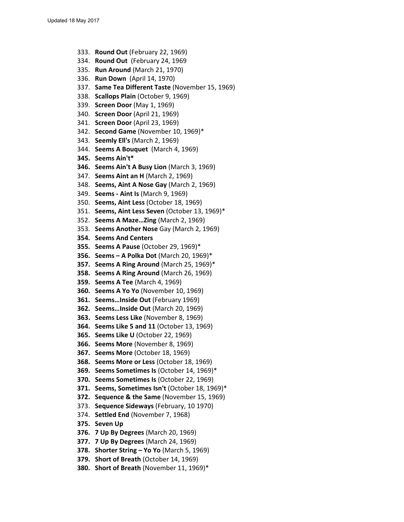- 333. **Round Out** (February 22, 1969)
- 334. **Round Out** (February 24, 1969
- 335. **Run Around** (March 21, 1970)
- 336. **Run Down** (April 14, 1970)
- 337. **Same Tea Different Taste** (November 15, 1969)
- 338. **Scallops Plain** (October 9, 1969)
- 339. **Screen Door** (May 1, 1969)
- 340. **Screen Door** (April 21, 1969)
- 341. **Screen Door** (April 23, 1969)
- 342. **Second Game** (November 10, 1969)\*
- 343. **Seemly Ell's** (March 2, 1969)
- 344. **Seems A Bouquet** (March 4, 1969)
- **345. Seems Ain't\***
- **346. Seems Ain't A Busy Lion** (March 3, 1969)
- 347. **Seems Aint an H** (March 2, 1969)
- 348. **Seems, Aint A Nose Gay** (March 2, 1969)
- 349. **Seems ‐ Aint Is** (March 9, 1969)
- 350. **Seems, Aint Less** (October 18, 1969)
- 351. **Seems, Aint Less Seven** (October 13, 1969)\*
- 352. **Seems A Maze…Zing** (March 2, 1969)
- 353. **Seems Another Nose** Gay (March 2, 1969)
- **354. Seems And Centers**
- **355. Seems A Pause** (October 29, 1969)\*
- **356. Seems – A Polka Dot** (March 20, 1969)\*
- **357. Seems A Ring Around** (March 25, 1969)\*
- **358. Seems A Ring Around** (March 26, 1969)
- **359. Seems A Tee** (March 4, 1969)
- **360. Seems A Yo Yo** (November 10, 1969)
- **361. Seems…Inside Out** (February 1969)
- **362. Seems…Inside Out** (March 20, 1969)
- **363. Seems Less Like** (November 8, 1969)
- **364. Seems Like 5 and 11** (October 13, 1969)
- **365. Seems Like U** (October 22, 1969)
- **366. Seems More** (November 8, 1969)
- **367. Seems More** (October 18, 1969)
- **368. Seems More or Less** (October 18, 1969)
- **369. Seems Sometimes Is** (October 14, 1969)\*
- **370. Seems Sometimes Is** (October 22, 1969)
- **371. Seems, Sometimes Isn't** (October 18, 1969)\*
- **372. Sequence & the Same** (November 15, 1969)
- 373. **Sequence Sideways** (February, 10 1970)
- 374. **Settled End** (November 7, 1968)
- **375. Seven Up**
- **376. 7 Up By Degrees** (March 20, 1969)
- **377. 7 Up By Degrees** (March 24, 1969)
- **378. Shorter String – Yo Yo** (March 5, 1969)
- **379. Short of Breath** (October 14, 1969)
- **380. Short of Breath** (November 11, 1969)\*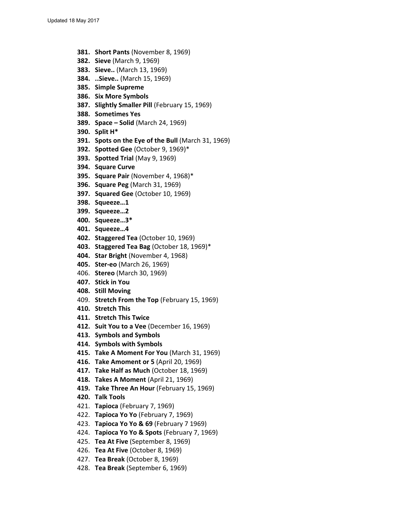- **381. Short Pants** (November 8, 1969)
- **382. Sieve** (March 9, 1969)
- **383. Sieve..** (March 13, 1969)
- **384. ..Sieve..** (March 15, 1969)
- **385. Simple Supreme**
- **386. Six More Symbols**
- **387. Slightly Smaller Pill** (February 15, 1969)
- **388. Sometimes Yes**
- **389. Space – Solid** (March 24, 1969)
- **390. Split H\***
- **391. Spots on the Eye of the Bull** (March 31, 1969)
- **392. Spotted Gee** (October 9, 1969)\*
- **393. Spotted Trial** (May 9, 1969)
- **394. Square Curve**
- **395. Square Pair** (November 4, 1968)\*
- **396. Square Peg** (March 31, 1969)
- **397. Squared Gee** (October 10, 1969)
- **398. Squeeze…1**
- **399. Squeeze…2**
- **400. Squeeze…3\***
- **401. Squeeze…4**
- **402. Staggered Tea** (October 10, 1969)
- **403. Staggered Tea Bag** (October 18, 1969)\*
- **404. Star Bright** (November 4, 1968)
- **405. Ster‐eo** (March 26, 1969)
- 406. **Stereo** (March 30, 1969)
- **407. Stick in You**
- **408. Still Moving**
- 409. **Stretch From the Top** (February 15, 1969)
- **410. Stretch This**
- **411. Stretch This Twice**
- **412. Suit You to a Vee** (December 16, 1969)
- **413. Symbols and Symbols**
- **414. Symbols with Symbols**
- **415. Take A Moment For You** (March 31, 1969)
- **416. Take Amoment or 5** (April 20, 1969)
- **417. Take Half as Much** (October 18, 1969)
- **418. Takes A Moment** (April 21, 1969)
- **419. Take Three An Hour** (February 15, 1969)
- **420. Talk Tools**
- 421. **Tapioca** (February 7, 1969)
- 422. **Tapioca Yo Yo** (February 7, 1969)
- 423. **Tapioca Yo Yo & 69** (February 7 1969)
- 424. **Tapioca Yo Yo & Spots** (February 7, 1969)
- 425. **Tea At Five** (September 8, 1969)
- 426. **Tea At Five** (October 8, 1969)
- 427. **Tea Break** (October 8, 1969)
- 428. **Tea Break** (September 6, 1969)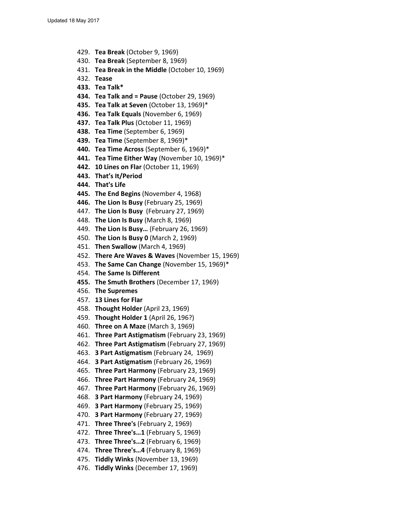- 429. **Tea Break** (October 9, 1969)
- 430. **Tea Break** (September 8, 1969)
- 431. **Tea Break in the Middle** (October 10, 1969)
- 432. **Tease**
- **433. Tea Talk\***
- **434. Tea Talk and = Pause** (October 29, 1969)
- **435. Tea Talk at Seven** (October 13, 1969)\*
- **436. Tea Talk Equals** (November 6, 1969)
- **437. Tea Talk Plus** (October 11, 1969)
- **438. Tea Time** (September 6, 1969)
- **439. Tea Time** (September 8, 1969)\*
- **440. Tea Time Across** (September 6, 1969)\*
- **441. Tea Time Either Way** (November 10, 1969)\*
- **442. 10 Lines on Flar** (October 11, 1969)
- **443. That's It/Period**
- **444. That's Life**
- **445. The End Begins** (November 4, 1968)
- **446. The Lion Is Busy** (February 25, 1969)
- 447. **The Lion Is Busy** (February 27, 1969)
- 448. **The Lion Is Busy** (March 8, 1969)
- 449. **The Lion Is Busy…** (February 26, 1969)
- 450. **The Lion Is Busy 0** (March 2, 1969)
- 451. **Then Swallow** (March 4, 1969)
- 452. **There Are Waves & Waves** (November 15, 1969)
- 453. **The Same Can Change** (November 15, 1969)\*
- 454. **The Same Is Different**
- **455. The Smuth Brothers** (December 17, 1969)
- 456. **The Supremes**
- 457. **13 Lines for Flar**
- 458. **Thought Holder** (April 23, 1969)
- 459. **Thought Holder 1** (April 26, 196?)
- 460. **Three on A Maze** (March 3, 1969)
- 461. **Three Part Astigmatism** (February 23, 1969)
- 462. **Three Part Astigmatism** (February 27, 1969)
- 463. **3 Part Astigmatism** (February 24, 1969)
- 464. **3 Part Astigmatism** (February 26, 1969)
- 465. **Three Part Harmony** (February 23, 1969)
- 466. **Three Part Harmony** (February 24, 1969)
- 467. **Three Part Harmony** (February 26, 1969)
- 468. **3 Part Harmony** (February 24, 1969)
- 469. **3 Part Harmony** (February 25, 1969)
- 470. **3 Part Harmony** (February 27, 1969)
- 471. **Three Three's** (February 2, 1969)
- 472. **Three Three's…1** (February 5, 1969)
- 473. **Three Three's…2** (February 6, 1969)
- 474. **Three Three's…4** (February 8, 1969)
- 475. **Tiddly Winks** (November 13, 1969)
- 476. **Tiddly Winks** (December 17, 1969)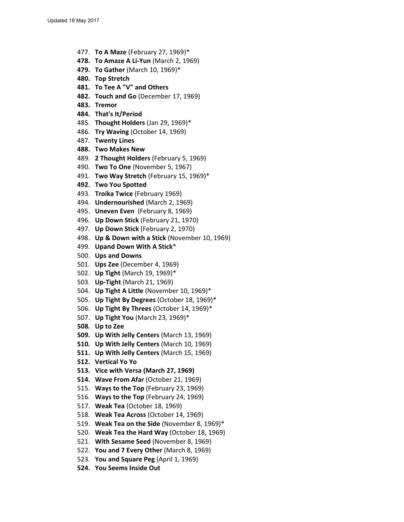- 477. **To A Maze** (February 27, 1969)\*
- **478. To Amaze A Li‐Yun** (March 2, 1969)
- **479. To Gather** (March 10, 1969)\*
- **480. Top Stretch**
- **481. To Tee A "V" and Others**
- **482. Touch and Go** (December 17, 1969)
- **483. Tremor**
- **484. That's It/Period**
- 485. **Thought Holders** (Jan 29, 1969)\*
- 486. **Try Waving** (October 14, 1969)
- 487. **Twenty Lines**
- **488. Two Makes New**
- 489. **2 Thought Holders** (February 5, 1969)
- 490. **Two To One** (November 5, 1967)
- 491. **Two Way Stretch** (February 15, 1969)\*
- **492. Two You Spotted**
- 493. **Troika Twice** (February 1969)
- 494. **Undernourished** (March 2, 1969)
- 495. **Uneven Even** (February 8, 1969)
- 496. **Up Down Stick** (February 21, 1970)
- 497. **Up Down Stick** (February 2, 1970)
- 498. **Up & Down with a Stick** (November 10, 1969)
- 499. **Upand Down With A Stick**\*
- 500. **Ups and Downs**
- 501. **Ups Zee** (December 4, 1969)
- 502. **Up Tight** (March 19, 1969)\*
- 503. **Up‐Tight** (March 21, 1969)
- 504. **Up Tight A Little** (November 10, 1969)\*
- 505. **Up Tight By Degrees** (October 18, 1969)\*
- 506. **Up Tight By Threes** (October 14, 1969)\*
- 507. **Up Tight You** (March 23, 1969)\*
- **508. Up to Zee**
- **509. Up With Jelly Centers** (March 13, 1969)
- **510. Up With Jelly Centers** (March 10, 1969)
- **511. Up With Jelly Centers** (March 15, 1969)
- **512. Vertical Yo Yo**
- **513. Vice with Versa (March 27, 1969)**
- **514. Wave From Afar** (October 21, 1969)
- 515. **Ways to the Top** (February 23, 1969)
- 516. **Ways to the Top** (February 24, 1969)
- 517. **Weak Tea** (October 18, 1969)
- 518. **Weak Tea Across** (October 14, 1969)
- 519. **Weak Tea on the Side** (November 8, 1969)\*
- 520. **Weak Tea the Hard Way** (October 18, 1969)
- 521. **With Sesame Seed** (November 8, 1969)
- 522. **You and 7 Every Other** (March 8, 1969)
- 523. **You and Square Peg** (April 1, 1969)
- **524. You Seems Inside Out**